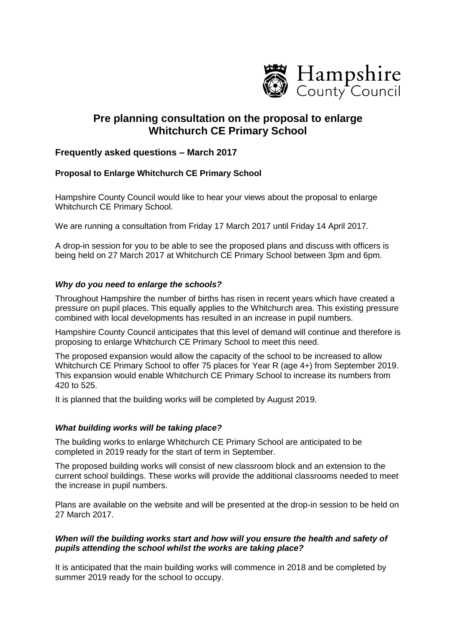

# **Pre planning consultation on the proposal to enlarge Whitchurch CE Primary School**

## **Frequently asked questions – March 2017**

## **Proposal to Enlarge Whitchurch CE Primary School**

Hampshire County Council would like to hear your views about the proposal to enlarge Whitchurch CE Primary School.

We are running a consultation from Friday 17 March 2017 until Friday 14 April 2017.

A drop-in session for you to be able to see the proposed plans and discuss with officers is being held on 27 March 2017 at Whitchurch CE Primary School between 3pm and 6pm.

## *Why do you need to enlarge the schools?*

Throughout Hampshire the number of births has risen in recent years which have created a pressure on pupil places. This equally applies to the Whitchurch area. This existing pressure combined with local developments has resulted in an increase in pupil numbers.

Hampshire County Council anticipates that this level of demand will continue and therefore is proposing to enlarge Whitchurch CE Primary School to meet this need.

The proposed expansion would allow the capacity of the school to be increased to allow Whitchurch CE Primary School to offer 75 places for Year R (age 4+) from September 2019. This expansion would enable Whitchurch CE Primary School to increase its numbers from 420 to 525.

It is planned that the building works will be completed by August 2019.

#### *What building works will be taking place?*

The building works to enlarge Whitchurch CE Primary School are anticipated to be completed in 2019 ready for the start of term in September.

The proposed building works will consist of new classroom block and an extension to the current school buildings. These works will provide the additional classrooms needed to meet the increase in pupil numbers.

Plans are available on the website and will be presented at the drop-in session to be held on 27 March 2017.

## *When will the building works start and how will you ensure the health and safety of pupils attending the school whilst the works are taking place?*

It is anticipated that the main building works will commence in 2018 and be completed by summer 2019 ready for the school to occupy.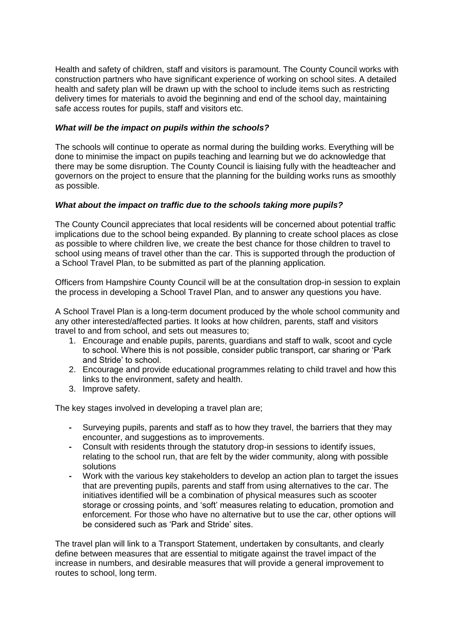Health and safety of children, staff and visitors is paramount. The County Council works with construction partners who have significant experience of working on school sites. A detailed health and safety plan will be drawn up with the school to include items such as restricting delivery times for materials to avoid the beginning and end of the school day, maintaining safe access routes for pupils, staff and visitors etc.

#### *What will be the impact on pupils within the schools?*

The schools will continue to operate as normal during the building works. Everything will be done to minimise the impact on pupils teaching and learning but we do acknowledge that there may be some disruption. The County Council is liaising fully with the headteacher and governors on the project to ensure that the planning for the building works runs as smoothly as possible.

#### *What about the impact on traffic due to the schools taking more pupils?*

The County Council appreciates that local residents will be concerned about potential traffic implications due to the school being expanded. By planning to create school places as close as possible to where children live, we create the best chance for those children to travel to school using means of travel other than the car. This is supported through the production of a School Travel Plan, to be submitted as part of the planning application.

Officers from Hampshire County Council will be at the consultation drop-in session to explain the process in developing a School Travel Plan, and to answer any questions you have.

A School Travel Plan is a long-term document produced by the whole school community and any other interested/affected parties. It looks at how children, parents, staff and visitors travel to and from school, and sets out measures to;

- 1. Encourage and enable pupils, parents, guardians and staff to walk, scoot and cycle to school. Where this is not possible, consider public transport, car sharing or 'Park and Stride' to school.
- 2. Encourage and provide educational programmes relating to child travel and how this links to the environment, safety and health.
- 3. Improve safety.

The key stages involved in developing a travel plan are;

- **-** Surveying pupils, parents and staff as to how they travel, the barriers that they may encounter, and suggestions as to improvements.
- **-** Consult with residents through the statutory drop-in sessions to identify issues, relating to the school run, that are felt by the wider community, along with possible solutions
- **-** Work with the various key stakeholders to develop an action plan to target the issues that are preventing pupils, parents and staff from using alternatives to the car. The initiatives identified will be a combination of physical measures such as scooter storage or crossing points, and 'soft' measures relating to education, promotion and enforcement. For those who have no alternative but to use the car, other options will be considered such as 'Park and Stride' sites.

The travel plan will link to a Transport Statement, undertaken by consultants, and clearly define between measures that are essential to mitigate against the travel impact of the increase in numbers, and desirable measures that will provide a general improvement to routes to school, long term.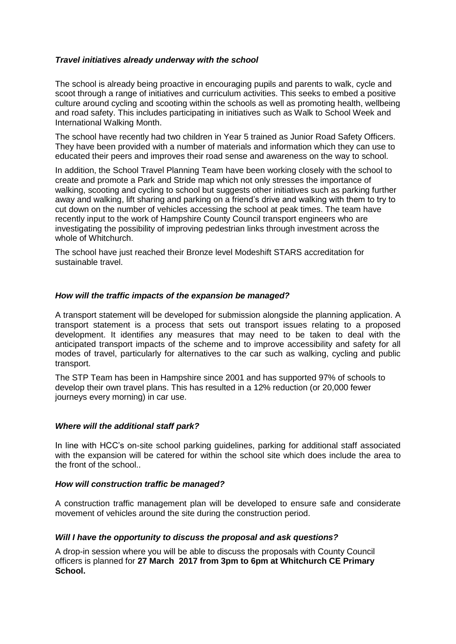## *Travel initiatives already underway with the school*

The school is already being proactive in encouraging pupils and parents to walk, cycle and scoot through a range of initiatives and curriculum activities. This seeks to embed a positive culture around cycling and scooting within the schools as well as promoting health, wellbeing and road safety. This includes participating in initiatives such as Walk to School Week and International Walking Month.

The school have recently had two children in Year 5 trained as Junior Road Safety Officers. They have been provided with a number of materials and information which they can use to educated their peers and improves their road sense and awareness on the way to school.

In addition, the School Travel Planning Team have been working closely with the school to create and promote a Park and Stride map which not only stresses the importance of walking, scooting and cycling to school but suggests other initiatives such as parking further away and walking, lift sharing and parking on a friend's drive and walking with them to try to cut down on the number of vehicles accessing the school at peak times. The team have recently input to the work of Hampshire County Council transport engineers who are investigating the possibility of improving pedestrian links through investment across the whole of Whitchurch.

The school have just reached their Bronze level Modeshift STARS accreditation for sustainable travel.

#### *How will the traffic impacts of the expansion be managed?*

A transport statement will be developed for submission alongside the planning application. A transport statement is a process that sets out transport issues relating to a proposed development. It identifies any measures that may need to be taken to deal with the anticipated transport impacts of the scheme and to improve accessibility and safety for all modes of travel, particularly for alternatives to the car such as walking, cycling and public transport.

The STP Team has been in Hampshire since 2001 and has supported 97% of schools to develop their own travel plans. This has resulted in a 12% reduction (or 20,000 fewer journeys every morning) in car use.

#### *Where will the additional staff park?*

In line with HCC's on-site school parking guidelines, parking for additional staff associated with the expansion will be catered for within the school site which does include the area to the front of the school..

#### *How will construction traffic be managed?*

A construction traffic management plan will be developed to ensure safe and considerate movement of vehicles around the site during the construction period.

#### *Will I have the opportunity to discuss the proposal and ask questions?*

A drop-in session where you will be able to discuss the proposals with County Council officers is planned for **27 March 2017 from 3pm to 6pm at Whitchurch CE Primary School.**